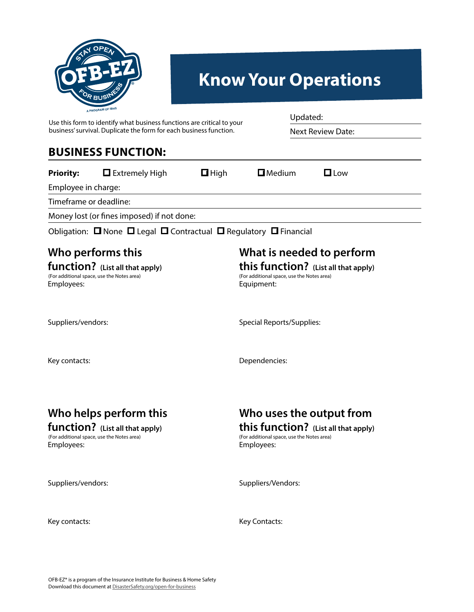

# **Know Your Operations**

Updated:

Next Review Date:

Use this form to identify what business functions are critical to your business' survival. Duplicate the form for each business function.

#### **BUSINESS FUNCTION:**

| <b>Priority:</b>       | $\Box$ Extremely High                      | $\Box$ High | $\square$ Medium | $\Box$ low |  |
|------------------------|--------------------------------------------|-------------|------------------|------------|--|
| Employee in charge:    |                                            |             |                  |            |  |
| Timeframe or deadline: |                                            |             |                  |            |  |
|                        | Money lost (or fines imposed) if not done: |             |                  |            |  |

Obligation: ❏ None ❏ Legal ❏ Contractual ❏ Regulatory ❏ Financial

#### **Who performs this**

#### **function?** (List all that apply) (For additional space, use the Notes area) Employees:

### **What is needed to perform**

**this function? (List all that apply)** Equipment: (For additional space, use the Notes area)

Suppliers/vendors:

Special Reports/Supplies:

Key contacts:

Dependencies:

## **Who helps perform this**

#### **function? (List all that apply)**

Employees: (For additional space, use the Notes area)

### **Who uses the output from this function?** (List all that apply)<br>(For additional space, use the Notes area)

Employees:

Suppliers/vendors:

Suppliers/Vendors:

Key contacts:

Key Contacts: